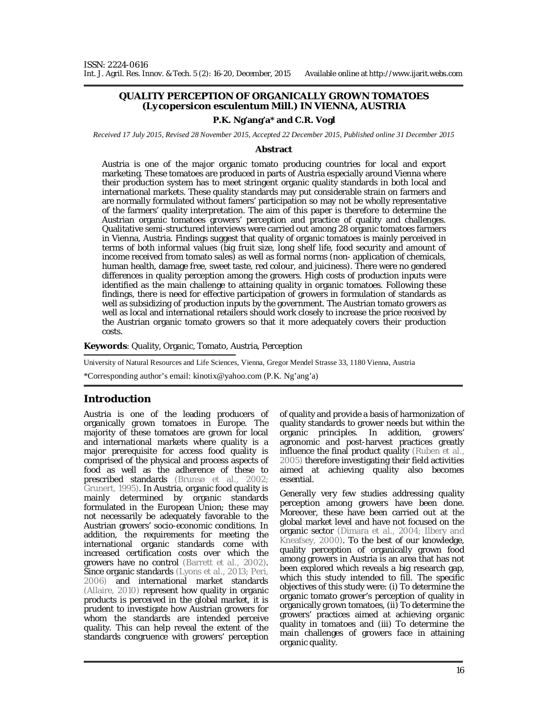## **QUALITY PERCEPTION OF ORGANICALLY GROWN TOMATOES (***Lycopersicon esculentum* **Mill.) IN VIENNA, AUSTRIA**

## **P.K. Ng'ang'a\* and C.R. Vogl**

*Received 17 July 2015, Revised 28 November 2015, Accepted 22 December 2015, Published online 31 December 2015* 

#### **Abstract**

Austria is one of the major organic tomato producing countries for local and export marketing. These tomatoes are produced in parts of Austria especially around Vienna where their production system has to meet stringent organic quality standards in both local and international markets. These quality standards may put considerable strain on farmers and are normally formulated without famers' participation so may not be wholly representative of the farmers' quality interpretation. The aim of this paper is therefore to determine the Austrian organic tomatoes growers' perception and practice of quality and challenges. Qualitative semi-structured interviews were carried out among 28 organic tomatoes farmers in Vienna, Austria. Findings suggest that quality of organic tomatoes is mainly perceived in terms of both informal values (big fruit size, long shelf life, food security and amount of income received from tomato sales) as well as formal norms (non- application of chemicals, human health, damage free, sweet taste, red colour, and juiciness). There were no gendered differences in quality perception among the growers. High costs of production inputs were identified as the main challenge to attaining quality in organic tomatoes. Following these findings, there is need for effective participation of growers in formulation of standards as well as subsidizing of production inputs by the government. The Austrian tomato growers as well as local and international retailers should work closely to increase the price received by the Austrian organic tomato growers so that it more adequately covers their production costs.

**Keywords**: Quality, Organic, Tomato, Austria, Perception

University of Natural Resources and Life Sciences, Vienna, Gregor Mendel Strasse 33, 1180 Vienna, Austria

\*Corresponding author's email: kinotix@yahoo.com (P.K. Ng'ang'a)

## **Introduction**

Austria is one of the leading producers of organically grown tomatoes in Europe. The majority of these tomatoes are grown for local and international markets where quality is a major prerequisite for access food quality is comprised of the physical and process aspects of food as well as the adherence of these to prescribed standards (Brunsø *et al*., 2002; Grunert, 1995). In Austria, organic food quality is mainly determined by organic standards formulated in the European Union; these may not necessarily be adequately favorable to the Austrian growers' socio-economic conditions. In addition, the requirements for meeting the international organic standards come with increased certification costs over which the growers have no control (Barrett *et al.*, 2002). Since organic standards (Lyons *et al.,* 2013; Peri, 2006) and international market standards (Allaire, 2010) represent how quality in organic products is perceived in the global market, it is prudent to investigate how Austrian growers for whom the standards are intended perceive quality. This can help reveal the extent of the standards congruence with growers' perception

of quality and provide a basis of harmonization of quality standards to grower needs but within the organic principles. In addition, growers' agronomic and post-harvest practices greatly influence the final product quality (Ruben *et al.*, 2005) therefore investigating their field activities aimed at achieving quality also becomes essential.

Generally very few studies addressing quality perception among growers have been done. Moreover, these have been carried out at the global market level and have not focused on the organic sector (Dimara *et al*., 2004; Ilbery and Kneafsey, 2000). To the best of our knowledge, quality perception of organically grown food among growers in Austria is an area that has not been explored which reveals a big research gap, which this study intended to fill. The specific objectives of this study were: (i) To determine the organic tomato grower's perception of quality in organically grown tomatoes, (ii) To determine the growers' practices aimed at achieving organic quality in tomatoes and (iii) To determine the main challenges of growers face in attaining organic quality.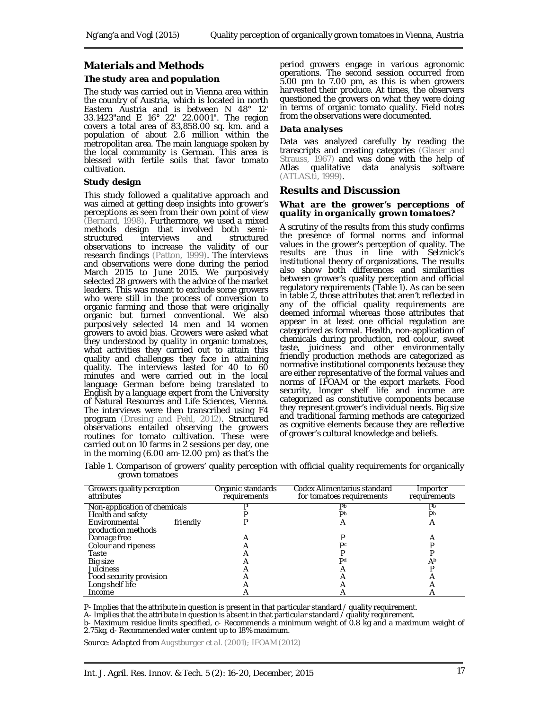## **Materials and Methods**

## *The study area and population*

The study was carried out in Vienna area within the country of Austria, which is located in north Eastern Austria and is between N 48° 12' 33.1423"and E 16° 22' 22.0001". The region covers a total area of 83,858.00 sq. km. and a population of about 2.6 million within the metropolitan area. The main language spoken by the local community is German. This area is blessed with fertile soils that favor tomato cultivation.

## *Study design*

This study followed a qualitative approach and was aimed at getting deep insights into grower's perceptions as seen from their own point of view (Bernard, 1998). Furthermore, we used a mixed methods design that involved both semi-<br>structured interviews and structured interviews observations to increase the validity of our research findings (Patton, 1999). The interviews and observations were done during the period March 2015 to June 2015. We purposively selected 28 growers with the advice of the market leaders. This was meant to exclude some growers who were still in the process of conversion to organic farming and those that were originally organic but turned conventional. We also purposively selected 14 men and 14 women growers to avoid bias. Growers were asked what they understood by quality in organic tomatoes, what activities they carried out to attain this quality and challenges they face in attaining quality. The interviews lasted for 40 to 60 minutes and were carried out in the local language German before being translated to English by a language expert from the University of Natural Resources and Life Sciences, Vienna. The interviews were then transcribed using F4 program (Dresing and Pehl, 2012). Structured observations entailed observing the growers routines for tomato cultivation. These were carried out on 10 farms in 2 sessions per day, one in the morning (6.00 am-12.00 pm) as that's the

period growers engage in various agronomic operations. The second session occurred from 5.00 pm to 7.00 pm, as this is when growers harvested their produce. At times, the observers questioned the growers on what they were doing in terms of organic tomato quality. Field notes from the observations were documented.

#### *Data analyses*

Data was analyzed carefully by reading the transcripts and creating categories (Glaser and Strauss, 1967) and was done with the help of Atlas qualitative data analysis software analysis software (ATLAS.ti, 1999).

## **Results and Discussion**

#### *What are the grower's perceptions of quality in organically grown tomatoes?*

A scrutiny of the results from this study confirms the presence of formal norms and informal values in the grower's perception of quality. The results are thus in line with Selznick's institutional theory of organizations. The results also show both differences and similarities between grower's quality perception and official regulatory requirements (Table 1). As can be seen in table 2, those attributes that aren't reflected in any of the official quality requirements are deemed informal whereas those attributes that appear in at least one official regulation are categorized as formal. Health, non-application of chemicals during production, red colour, sweet taste, juiciness and other environmentally friendly production methods are categorized as normative institutional components because they are either representative of the formal values and norms of IFOAM or the export markets. Food security, longer shelf life and income are categorized as constitutive components because they represent grower's individual needs. Big size and traditional farming methods are categorized as cognitive elements because they are reflective of grower's cultural knowledge and beliefs.

| Growers quality perception<br>attributes | Organic standards<br>requirements | Codex Alimentarius standard<br>for tomatoes requirements | Importer<br>requirements |
|------------------------------------------|-----------------------------------|----------------------------------------------------------|--------------------------|
| Non-application of chemicals             |                                   | Db                                                       | Db                       |
| Health and safety                        |                                   | Db                                                       | Db                       |
| Environmental<br>friendly                |                                   | A                                                        | Α                        |
| production methods                       |                                   |                                                          |                          |
| Damage free                              |                                   |                                                          |                          |
| Colour and ripeness                      |                                   | P <sub>c</sub>                                           |                          |
| Taste                                    |                                   |                                                          |                          |
| Big size                                 |                                   | Dd                                                       | Ab                       |
| Juiciness                                |                                   |                                                          |                          |
| Food security provision                  |                                   |                                                          |                          |
| Long shelf life                          |                                   |                                                          |                          |
| Income                                   |                                   |                                                          |                          |

| Table 1. Comparison of growers' quality perception with official quality requirements for organically |  |  |  |
|-------------------------------------------------------------------------------------------------------|--|--|--|
| grown tomatoes                                                                                        |  |  |  |

P- Implies that the attribute in question is present in that particular standard / quality requirement.

A- Implies that the attribute in question is absent in that particular standard / quality requirement.

b- Maximum residue limits specified, c- Recommends a minimum weight of 0.8 kg and a maximum weight of 2.75kg, d- Recommended water content up to 18% maximum.

*Source: Adapted from Augstburger et al. (2001); IFOAM (2012)*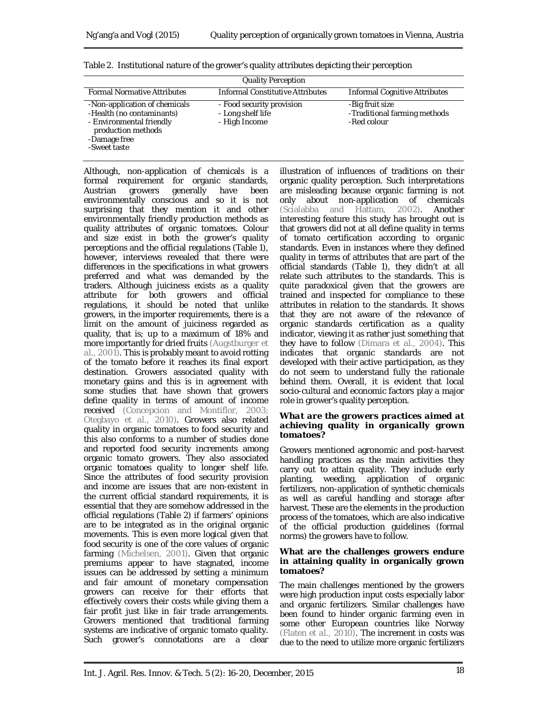| <b>Quality Perception</b>                                                                                                                    |                                                                 |                                                                |  |  |  |
|----------------------------------------------------------------------------------------------------------------------------------------------|-----------------------------------------------------------------|----------------------------------------------------------------|--|--|--|
| <b>Formal Normative Attributes</b>                                                                                                           | <b>Informal Constitutive Attributes</b>                         | Informal Cognitive Attributes                                  |  |  |  |
| -Non-application of chemicals<br>-Health (no contaminants)<br>- Environmental friendly<br>production methods<br>-Damage free<br>-Sweet taste | - Food security provision<br>- Long shelf life<br>- High Income | -Big fruit size<br>-Traditional farming methods<br>-Red colour |  |  |  |

| Table 2. Institutional nature of the grower's quality attributes depicting their perception |  |  |  |  |
|---------------------------------------------------------------------------------------------|--|--|--|--|
|                                                                                             |  |  |  |  |

Although, non-application of chemicals is a formal requirement for organic standards, Austrian growers generally have been environmentally conscious and so it is not surprising that they mention it and other environmentally friendly production methods as quality attributes of organic tomatoes. Colour and size exist in both the grower's quality perceptions and the official regulations (Table 1), however, interviews revealed that there were differences in the specifications in what growers preferred and what was demanded by the traders. Although juiciness exists as a quality attribute for both growers and official regulations, it should be noted that unlike growers, in the importer requirements, there is a limit on the amount of juiciness regarded as quality, that is; up to a maximum of 18% and more importantly for dried fruits (Augstburger *et al.*, 2001). This is probably meant to avoid rotting of the tomato before it reaches its final export destination. Growers associated quality with monetary gains and this is in agreement with some studies that have shown that growers define quality in terms of amount of income received (Concepcion and Montiflor, 2003; Otegbayo *et al.*, 2010). Growers also related quality in organic tomatoes to food security and this also conforms to a number of studies done and reported food security increments among organic tomato growers. They also associated organic tomatoes quality to longer shelf life. Since the attributes of food security provision and income are issues that are non-existent in the current official standard requirements, it is essential that they are somehow addressed in the official regulations (Table 2) if farmers' opinions are to be integrated as in the original organic movements. This is even more logical given that food security is one of the core values of organic farming (Michelsen, 2001). Given that organic premiums appear to have stagnated, income issues can be addressed by setting a minimum and fair amount of monetary compensation growers can receive for their efforts that effectively covers their costs while giving them a fair profit just like in fair trade arrangements. Growers mentioned that traditional farming systems are indicative of organic tomato quality. Such grower's connotations are a clear

illustration of influences of traditions on their organic quality perception. Such interpretations are misleading because organic farming is not only about non-application of chemicals (Scialabba and Hattam, 2002). Another interesting feature this study has brought out is that growers did not at all define quality in terms of tomato certification according to organic standards. Even in instances where they defined quality in terms of attributes that are part of the official standards (Table 1), they didn't at all relate such attributes to the standards. This is quite paradoxical given that the growers are trained and inspected for compliance to these attributes in relation to the standards. It shows that they are not aware of the relevance of organic standards certification as a quality indicator, viewing it as rather just something that they have to follow (Dimara *et al*., 2004). This indicates that organic standards are not developed with their active participation, as they do not seem to understand fully the rationale behind them. Overall, it is evident that local socio-cultural and economic factors play a major role in grower's quality perception.

#### *What are the growers practices aimed at achieving quality in organically grown tomatoes?*

Growers mentioned agronomic and post-harvest handling practices as the main activities they carry out to attain quality. They include early planting, weeding, application of organic fertilizers, non-application of synthetic chemicals as well as careful handling and storage after harvest. These are the elements in the production process of the tomatoes, which are also indicative of the official production guidelines (formal norms) the growers have to follow.

## **What are the challenges growers endure in attaining quality in organically grown tomatoes?**

The main challenges mentioned by the growers were high production input costs especially labor and organic fertilizers. Similar challenges have been found to hinder organic farming even in some other European countries like Norway (Flaten *et al*., 2010). The increment in costs was due to the need to utilize more organic fertilizers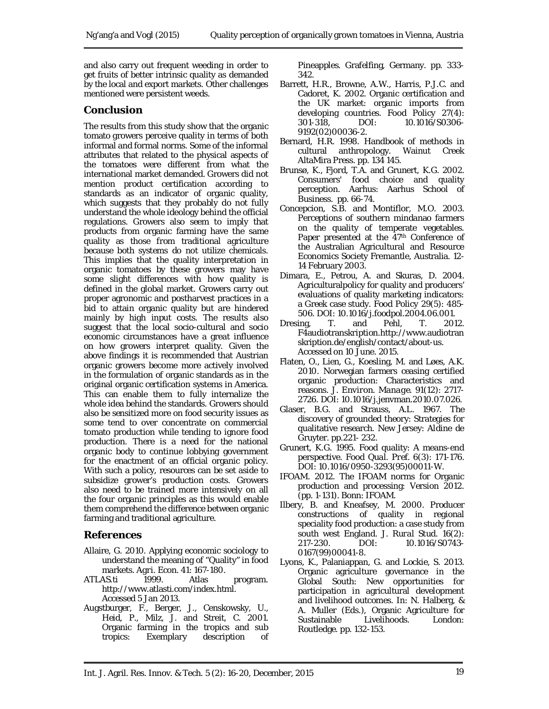and also carry out frequent weeding in order to get fruits of better intrinsic quality as demanded by the local and export markets. Other challenges mentioned were persistent weeds.

# **Conclusion**

The results from this study show that the organic tomato growers perceive quality in terms of both informal and formal norms. Some of the informal attributes that related to the physical aspects of the tomatoes were different from what the international market demanded. Growers did not mention product certification according to standards as an indicator of organic quality, which suggests that they probably do not fully understand the whole ideology behind the official regulations. Growers also seem to imply that products from organic farming have the same quality as those from traditional agriculture because both systems do not utilize chemicals. This implies that the quality interpretation in organic tomatoes by these growers may have some slight differences with how quality is defined in the global market. Growers carry out proper agronomic and postharvest practices in a bid to attain organic quality but are hindered mainly by high input costs. The results also suggest that the local socio-cultural and socio economic circumstances have a great influence on how growers interpret quality. Given the above findings it is recommended that Austrian organic growers become more actively involved in the formulation of organic standards as in the original organic certification systems in America. This can enable them to fully internalize the whole idea behind the standards. Growers should also be sensitized more on food security issues as some tend to over concentrate on commercial tomato production while tending to ignore food production. There is a need for the national organic body to continue lobbying government for the enactment of an official organic policy. With such a policy, resources can be set aside to subsidize grower's production costs. Growers also need to be trained more intensively on all the four organic principles as this would enable them comprehend the difference between organic farming and traditional agriculture.

# **References**

- Allaire, G. 2010. Applying economic sociology to understand the meaning of "Quality" in food markets. *Agri. Econ.* 41: 167-180.
- ATLAS.ti 1999. Atlas program. http://www.atlasti.com/index.html. Accessed 5 Jan 2013.
- Augstburger, F., Berger, J., Censkowsky, U., Heid, P., Milz, J. and Streit, C. 2001. Organic farming in the tropics and sub tropics: Exemplary description of

Pineapples. Grafelfing, Germany. pp. 333- 342.

- Barrett, H.R., Browne, A.W., Harris, P.J.C. and Cadoret, K. 2002. Organic certification and the UK market: organic imports from developing countries. *Food Policy* 27(4): 301-318, DOI: 10.1016/S0306- 9192(02)00036-2.
- Bernard, H.R. 1998. Handbook of methods in cultural anthropology. Wainut Creek AltaMira Press. pp. 134 145.
- Brunsø, K., Fjord, T.A. and Grunert, K.G. 2002. Consumers' food choice and quality perception. Aarhus: Aarhus School of Business. pp. 66-74.
- Concepcion, S.B. and Montiflor, M.O. 2003. Perceptions of southern mindanao farmers on the quality of temperate vegetables. Paper presented at the 47<sup>th</sup> Conference of the Australian Agricultural and Resource Economics Society Fremantle, Australia. 12- 14 February 2003.
- Dimara, E., Petrou, A. and Skuras, D. 2004. Agriculturalpolicy for quality and producers' evaluations of quality marketing indicators: a Greek case study. *Food Policy* 29(5): 485- 506. DOI: 10.1016/j.foodpol.2004.06.001.
- Dresing, T. and Pehl, T. 2012. F4audiotranskription.http://www.audiotran skription.de/english/contact/about-us. Accessed on 10 June. 2015.
- Flaten, O., Lien, G., Koesling, M. and Løes, A.K. 2010. Norwegian farmers ceasing certified organic production: Characteristics and reasons. *J. Environ. Manage.* 91(12): 2717- 2726. DOI: 10.1016/j.jenvman.2010.07.026.
- Glaser, B.G. and Strauss, A.L. 1967. The discovery of grounded theory: Strategies for qualitative research. New Jersey: Aldine de Gruyter. pp.221- 232.
- Grunert, K.G. 1995. Food quality: A means-end perspective. *Food Qual. Pref.* 6(3): 171-176. DOI: 10.1016/0950-3293(95)00011-W.
- IFOAM. 2012. The IFOAM norms for Organic production and processing: Version 2012. (pp. 1-131). Bonn: IFOAM.
- Ilbery, B. and Kneafsey, M. 2000. Producer constructions of quality in regional speciality food production: a case study from south west England. *J. Rural Stud.* 16(2): 217-230. DOI: 10.1016/S0743- 0167(99)00041-8.
- Lyons, K., Palaniappan, G. and Lockie, S. 2013. Organic agriculture governance in the Global South: New opportunities for participation in agricultural development and livelihood outcomes. In: N. Halberg, & A. Muller (Eds.), Organic Agriculture for Livelihoods. Routledge. pp. 132-153.